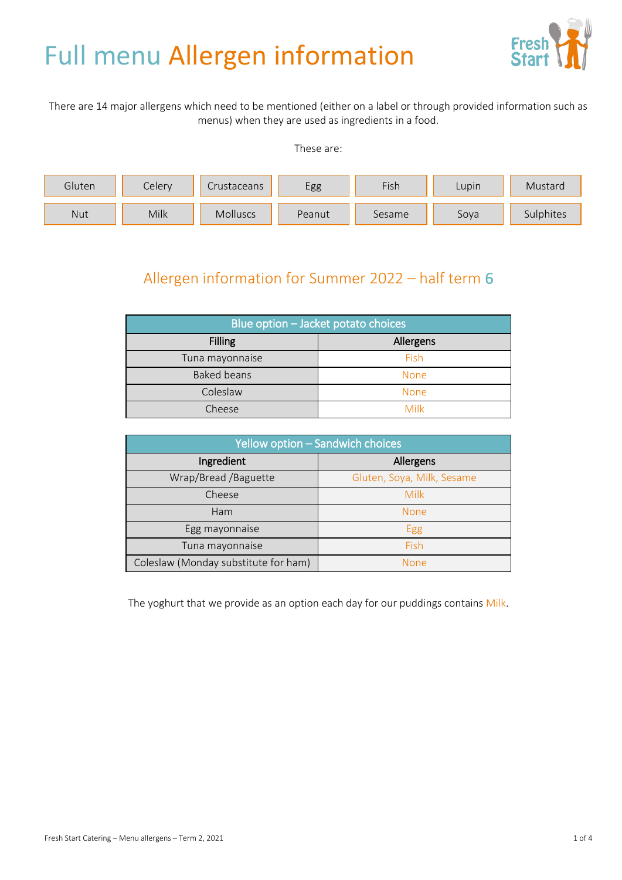# Full menu Allergen information



There are 14 major allergens which need to be mentioned (either on a label or through provided information such as menus) when they are used as ingredients in a food.

These are:



## Allergen information for Summer 2022 – half term 6

| Blue option - Jacket potato choices |             |  |
|-------------------------------------|-------------|--|
| <b>Filling</b>                      | Allergens   |  |
| Tuna mayonnaise                     | Fish        |  |
| Baked beans                         | <b>None</b> |  |
| Coleslaw                            | <b>None</b> |  |
| Cheese                              | Milk        |  |

| Yellow option - Sandwich choices     |                            |  |
|--------------------------------------|----------------------------|--|
| Ingredient                           | Allergens                  |  |
| Wrap/Bread /Baguette                 | Gluten, Soya, Milk, Sesame |  |
| Cheese                               | Milk                       |  |
| Ham                                  | <b>None</b>                |  |
| Egg mayonnaise                       | Egg                        |  |
| Tuna mayonnaise                      | Fish                       |  |
| Coleslaw (Monday substitute for ham) | <b>None</b>                |  |

The yoghurt that we provide as an option each day for our puddings contains Milk.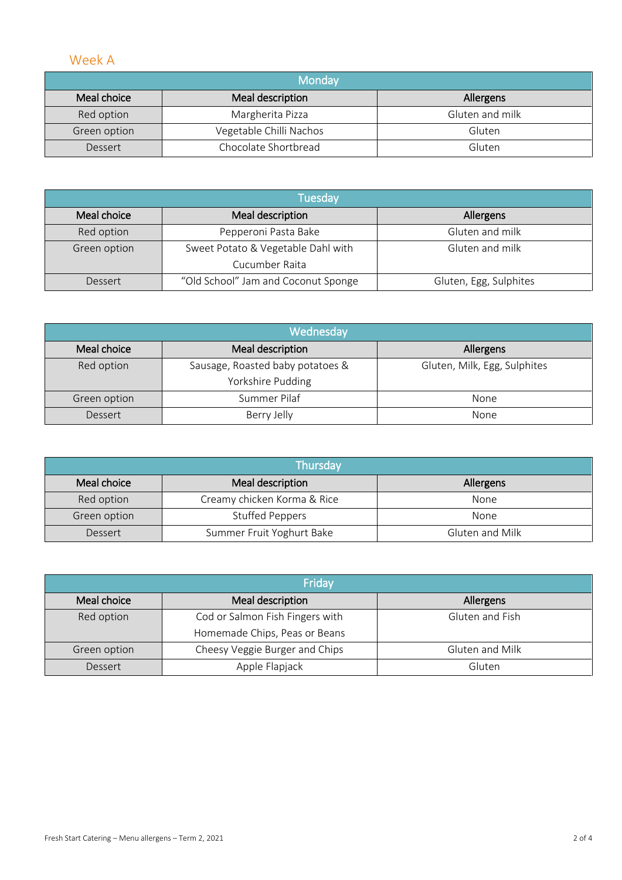#### Week A

| Mondav       |                         |                 |
|--------------|-------------------------|-----------------|
| Meal choice  | Meal description        | Allergens       |
| Red option   | Margherita Pizza        | Gluten and milk |
| Green option | Vegetable Chilli Nachos | Gluten          |
| Dessert      | Chocolate Shortbread    | Gluten          |

| <b>Tuesday</b> |                                     |                        |
|----------------|-------------------------------------|------------------------|
| Meal choice    | Meal description                    | Allergens              |
| Red option     | Pepperoni Pasta Bake                | Gluten and milk        |
| Green option   | Sweet Potato & Vegetable Dahl with  | Gluten and milk        |
|                | Cucumber Raita                      |                        |
| Dessert        | "Old School" Jam and Coconut Sponge | Gluten, Egg, Sulphites |

| Wednesday    |                                  |                              |
|--------------|----------------------------------|------------------------------|
| Meal choice  | Meal description                 | Allergens                    |
| Red option   | Sausage, Roasted baby potatoes & | Gluten, Milk, Egg, Sulphites |
|              | Yorkshire Pudding                |                              |
| Green option | Summer Pilaf                     | None                         |
| Dessert      | Berry Jelly                      | None                         |

| Thursday     |                             |                 |
|--------------|-----------------------------|-----------------|
| Meal choice  | Meal description            | Allergens       |
| Red option   | Creamy chicken Korma & Rice | None            |
| Green option | <b>Stuffed Peppers</b>      | None            |
| Dessert      | Summer Fruit Yoghurt Bake   | Gluten and Milk |

| Friday       |                                 |                  |
|--------------|---------------------------------|------------------|
| Meal choice  | Meal description                | <b>Allergens</b> |
| Red option   | Cod or Salmon Fish Fingers with | Gluten and Fish  |
|              | Homemade Chips, Peas or Beans   |                  |
| Green option | Cheesy Veggie Burger and Chips  | Gluten and Milk  |
| Dessert      | Apple Flapjack                  | Gluten           |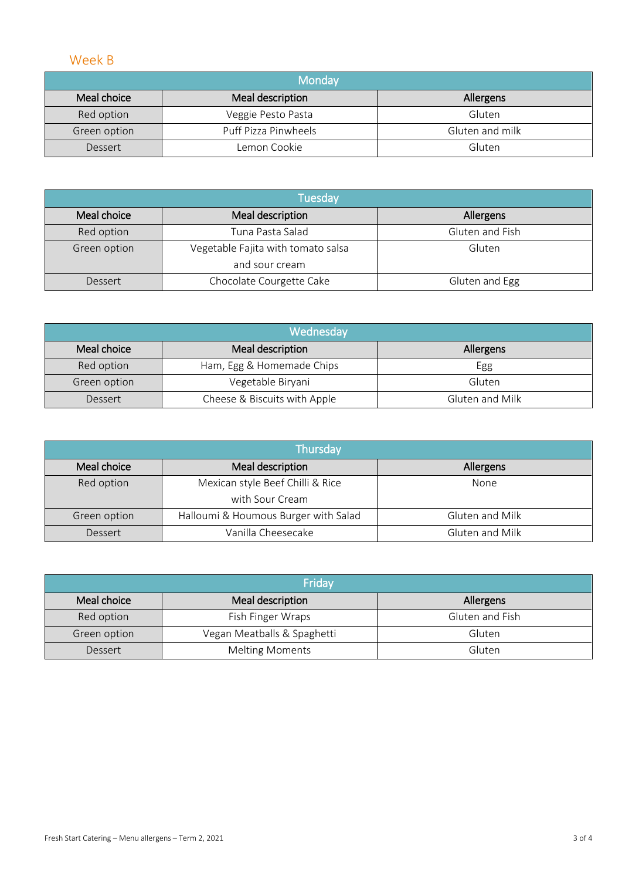#### Week B

| Monday       |                      |                 |
|--------------|----------------------|-----------------|
| Meal choice  | Meal description     | Allergens       |
| Red option   | Veggie Pesto Pasta   | Gluten          |
| Green option | Puff Pizza Pinwheels | Gluten and milk |
| Dessert      | Lemon Cookie         | Gluten          |

| <b>Tuesday</b> |                                    |                  |
|----------------|------------------------------------|------------------|
| Meal choice    | Meal description                   | <b>Allergens</b> |
| Red option     | Tuna Pasta Salad                   | Gluten and Fish  |
| Green option   | Vegetable Fajita with tomato salsa | Gluten           |
|                | and sour cream                     |                  |
| Dessert        | Chocolate Courgette Cake           | Gluten and Egg   |

| Wednesday    |                              |                 |
|--------------|------------------------------|-----------------|
| Meal choice  | Meal description             | Allergens       |
| Red option   | Ham, Egg & Homemade Chips    | Egg             |
| Green option | Vegetable Biryani            | Gluten          |
| Dessert      | Cheese & Biscuits with Apple | Gluten and Milk |

| Thursday     |                                                     |                 |
|--------------|-----------------------------------------------------|-----------------|
| Meal choice  | Meal description                                    | Allergens       |
| Red option   | Mexican style Beef Chilli & Rice<br>with Sour Cream | None            |
| Green option | Halloumi & Houmous Burger with Salad                | Gluten and Milk |
| Dessert      | Vanilla Cheesecake                                  | Gluten and Milk |

| Friday       |                             |                 |
|--------------|-----------------------------|-----------------|
| Meal choice  | Meal description            | Allergens       |
| Red option   | Fish Finger Wraps           | Gluten and Fish |
| Green option | Vegan Meatballs & Spaghetti | Gluten          |
| Dessert      | <b>Melting Moments</b>      | Gluten          |